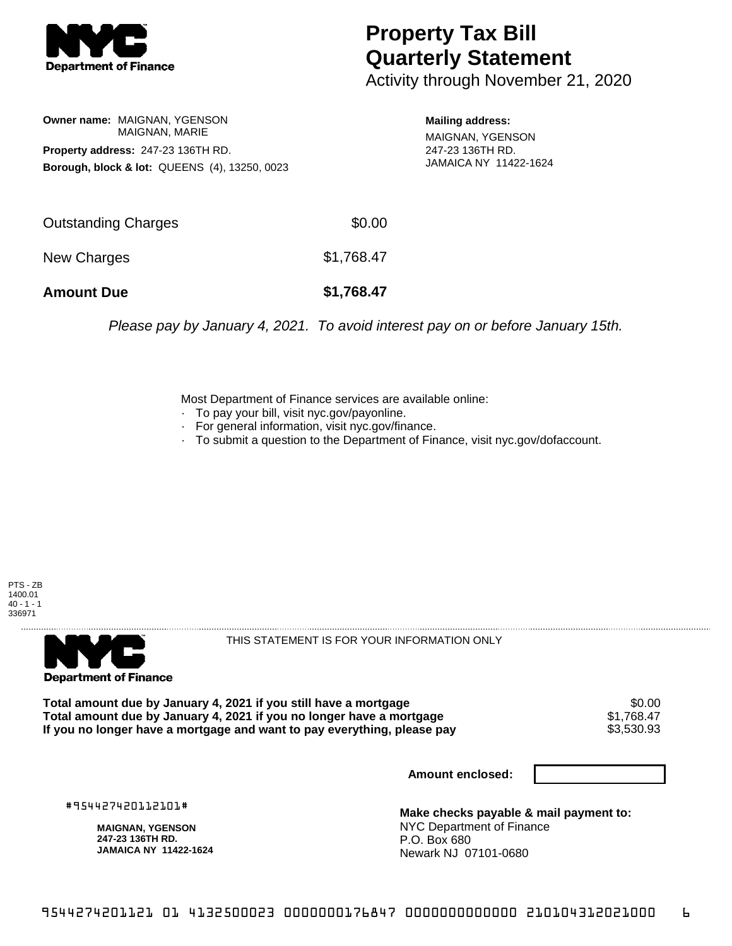

## **Property Tax Bill Quarterly Statement**

Activity through November 21, 2020

**Owner name:** MAIGNAN, YGENSON MAIGNAN, MARIE **Property address:** 247-23 136TH RD. **Borough, block & lot:** QUEENS (4), 13250, 0023

**Mailing address:**

MAIGNAN, YGENSON 247-23 136TH RD. JAMAICA NY 11422-1624

| <b>Amount Due</b>          | \$1,768.47 |
|----------------------------|------------|
| New Charges                | \$1,768.47 |
| <b>Outstanding Charges</b> | \$0.00     |

Please pay by January 4, 2021. To avoid interest pay on or before January 15th.

Most Department of Finance services are available online:

- · To pay your bill, visit nyc.gov/payonline.
- For general information, visit nyc.gov/finance.
- · To submit a question to the Department of Finance, visit nyc.gov/dofaccount.





THIS STATEMENT IS FOR YOUR INFORMATION ONLY

Total amount due by January 4, 2021 if you still have a mortgage \$0.00<br>Total amount due by January 4, 2021 if you no longer have a mortgage \$1.768.47 **Total amount due by January 4, 2021 if you no longer have a mortgage**  $$1,768.47$$ **<br>If you no longer have a mortgage and want to pay everything, please pay**  $$3,530.93$$ If you no longer have a mortgage and want to pay everything, please pay

**Amount enclosed:**

#954427420112101#

**MAIGNAN, YGENSON 247-23 136TH RD. JAMAICA NY 11422-1624**

**Make checks payable & mail payment to:** NYC Department of Finance P.O. Box 680 Newark NJ 07101-0680